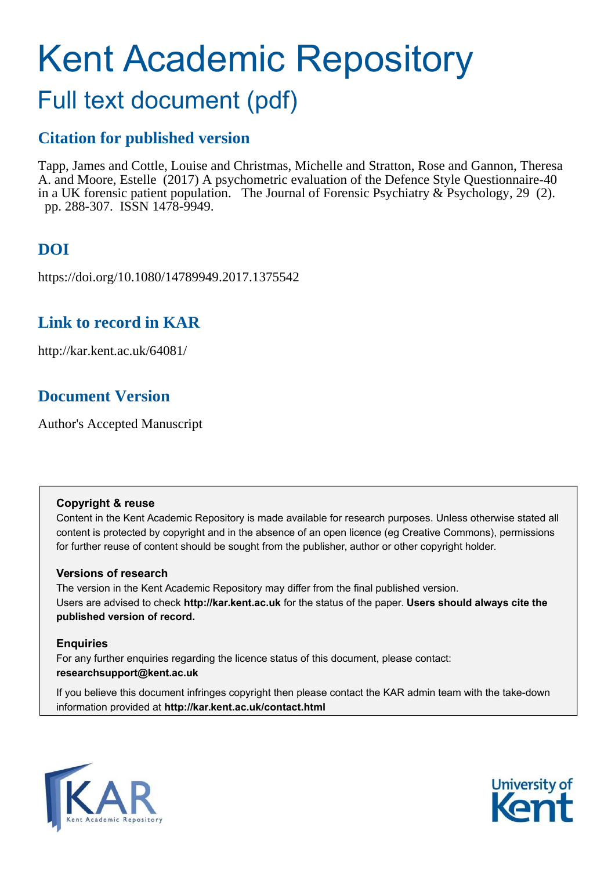# Kent Academic Repository

## Full text document (pdf)

## **Citation for published version**

Tapp, James and Cottle, Louise and Christmas, Michelle and Stratton, Rose and Gannon, Theresa A. and Moore, Estelle (2017) A psychometric evaluation of the Defence Style Questionnaire-40 in a UK forensic patient population. The Journal of Forensic Psychiatry & Psychology, 29 (2). pp. 288-307. ISSN 1478-9949.

## **DOI**

https://doi.org/10.1080/14789949.2017.1375542

## **Link to record in KAR**

http://kar.kent.ac.uk/64081/

## **Document Version**

Author's Accepted Manuscript

#### **Copyright & reuse**

Content in the Kent Academic Repository is made available for research purposes. Unless otherwise stated all content is protected by copyright and in the absence of an open licence (eg Creative Commons), permissions for further reuse of content should be sought from the publisher, author or other copyright holder.

#### **Versions of research**

The version in the Kent Academic Repository may differ from the final published version. Users are advised to check **http://kar.kent.ac.uk** for the status of the paper. **Users should always cite the published version of record.**

#### **Enquiries**

For any further enquiries regarding the licence status of this document, please contact: **researchsupport@kent.ac.uk**

If you believe this document infringes copyright then please contact the KAR admin team with the take-down information provided at **http://kar.kent.ac.uk/contact.html**



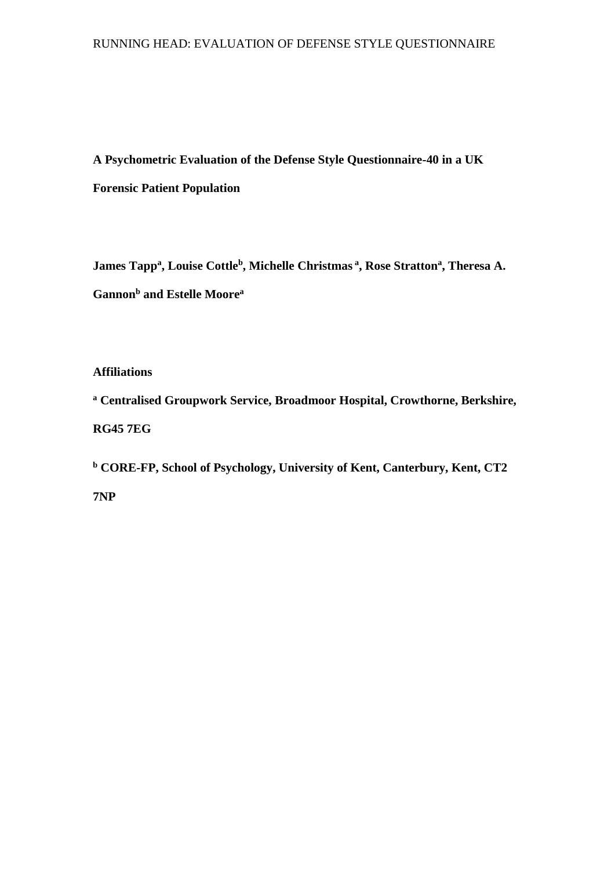#### RUNNING HEAD: EVALUATION OF DEFENSE STYLE QUESTIONNAIRE

**A Psychometric Evaluation of the Defense Style Questionnaire-40 in a UK Forensic Patient Population** 

**James Tapp<sup>a</sup> , Louise Cottle<sup>b</sup> , Michelle Christmas<sup>a</sup>, Rose Stratton<sup>a</sup> , Theresa A. Gannon<sup>b</sup> and Estelle Moore<sup>a</sup>** 

**Affiliations** 

**a Centralised Groupwork Service, Broadmoor Hospital, Crowthorne, Berkshire, RG45 7EG** 

**b CORE-FP, School of Psychology, University of Kent, Canterbury, Kent, CT2 7NP**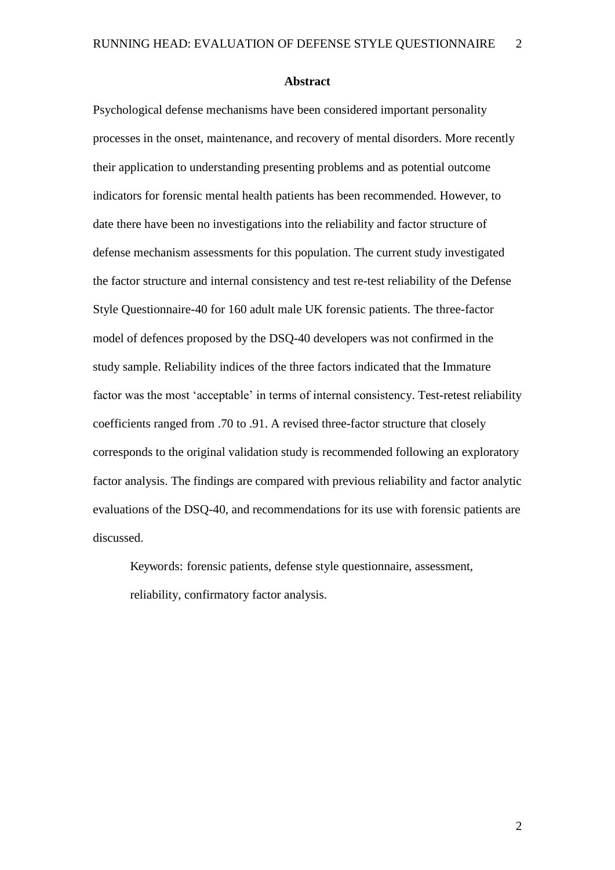#### **Abstract**

Psychological defense mechanisms have been considered important personality processes in the onset, maintenance, and recovery of mental disorders. More recently their application to understanding presenting problems and as potential outcome indicators for forensic mental health patients has been recommended. However, to date there have been no investigations into the reliability and factor structure of defense mechanism assessments for this population. The current study investigated the factor structure and internal consistency and test re-test reliability of the Defense Style Questionnaire-40 for 160 adult male UK forensic patients. The three-factor model of defences proposed by the DSQ-40 developers was not confirmed in the study sample. Reliability indices of the three factors indicated that the Immature factor was the most 'acceptable' in terms of internal consistency. Test-retest reliability coefficients ranged from .70 to .91. A revised three-factor structure that closely corresponds to the original validation study is recommended following an exploratory factor analysis. The findings are compared with previous reliability and factor analytic evaluations of the DSQ-40, and recommendations for its use with forensic patients are discussed.

Keywords: forensic patients, defense style questionnaire, assessment, reliability, confirmatory factor analysis.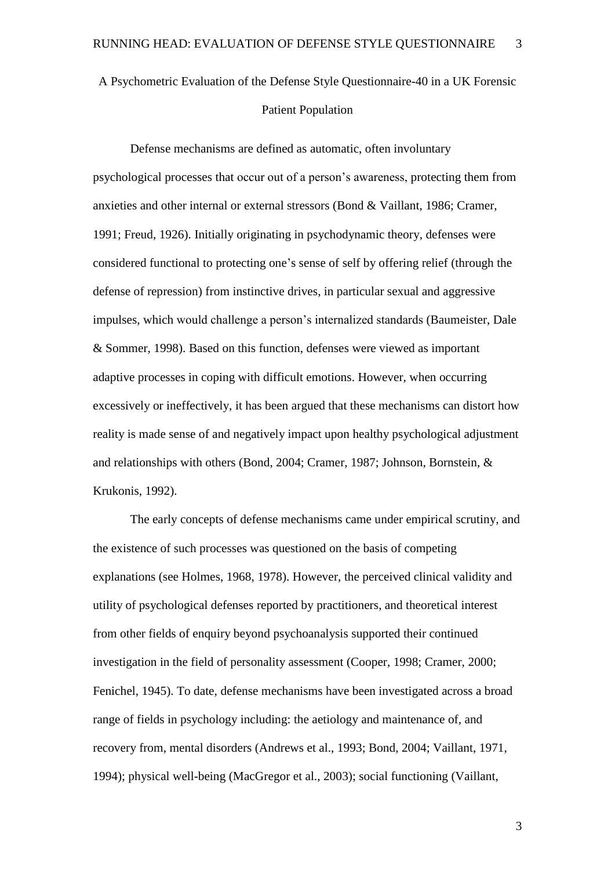A Psychometric Evaluation of the Defense Style Questionnaire-40 in a UK Forensic Patient Population

Defense mechanisms are defined as automatic, often involuntary psychological processes that occur out of a person's awareness, protecting them from anxieties and other internal or external stressors (Bond & Vaillant, 1986; Cramer, 1991; Freud, 1926). Initially originating in psychodynamic theory, defenses were considered functional to protecting one's sense of self by offering relief (through the defense of repression) from instinctive drives, in particular sexual and aggressive impulses, which would challenge a person's internalized standards (Baumeister, Dale & Sommer, 1998). Based on this function, defenses were viewed as important adaptive processes in coping with difficult emotions. However, when occurring excessively or ineffectively, it has been argued that these mechanisms can distort how reality is made sense of and negatively impact upon healthy psychological adjustment and relationships with others (Bond, 2004; Cramer, 1987; Johnson, Bornstein, & Krukonis, 1992).

The early concepts of defense mechanisms came under empirical scrutiny, and the existence of such processes was questioned on the basis of competing explanations (see Holmes, 1968, 1978). However, the perceived clinical validity and utility of psychological defenses reported by practitioners, and theoretical interest from other fields of enquiry beyond psychoanalysis supported their continued investigation in the field of personality assessment (Cooper, 1998; Cramer, 2000; Fenichel, 1945). To date, defense mechanisms have been investigated across a broad range of fields in psychology including: the aetiology and maintenance of, and recovery from, mental disorders (Andrews et al., 1993; Bond, 2004; Vaillant, 1971, 1994); physical well-being (MacGregor et al., 2003); social functioning (Vaillant,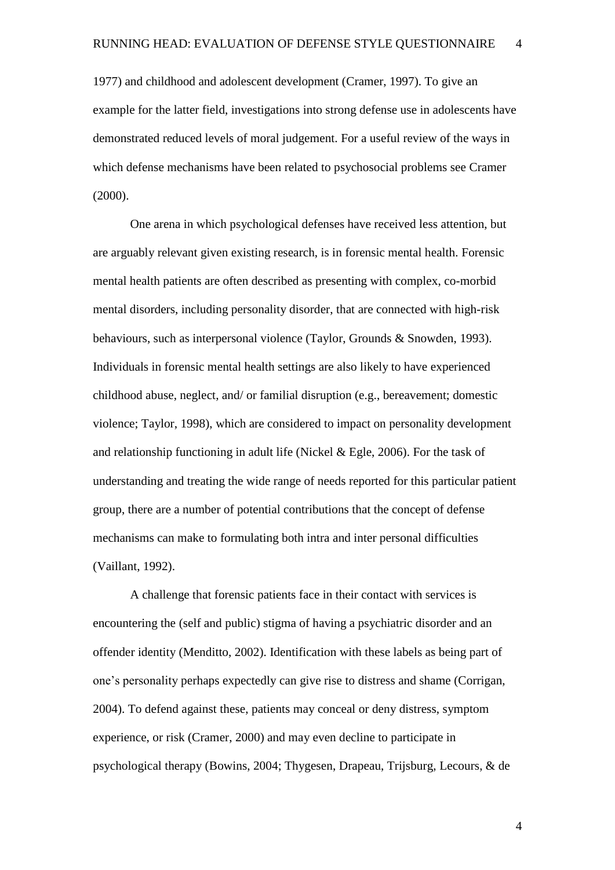1977) and childhood and adolescent development (Cramer, 1997). To give an example for the latter field, investigations into strong defense use in adolescents have demonstrated reduced levels of moral judgement. For a useful review of the ways in which defense mechanisms have been related to psychosocial problems see Cramer (2000).

One arena in which psychological defenses have received less attention, but are arguably relevant given existing research, is in forensic mental health. Forensic mental health patients are often described as presenting with complex, co-morbid mental disorders, including personality disorder, that are connected with high-risk behaviours, such as interpersonal violence (Taylor, Grounds & Snowden, 1993). Individuals in forensic mental health settings are also likely to have experienced childhood abuse, neglect, and/ or familial disruption (e.g., bereavement; domestic violence; Taylor, 1998), which are considered to impact on personality development and relationship functioning in adult life (Nickel & Egle, 2006). For the task of understanding and treating the wide range of needs reported for this particular patient group, there are a number of potential contributions that the concept of defense mechanisms can make to formulating both intra and inter personal difficulties (Vaillant, 1992).

A challenge that forensic patients face in their contact with services is encountering the (self and public) stigma of having a psychiatric disorder and an offender identity (Menditto, 2002). Identification with these labels as being part of one's personality perhaps expectedly can give rise to distress and shame (Corrigan, 2004). To defend against these, patients may conceal or deny distress, symptom experience, or risk (Cramer, 2000) and may even decline to participate in psychological therapy (Bowins, 2004; Thygesen, Drapeau, Trijsburg, Lecours, & de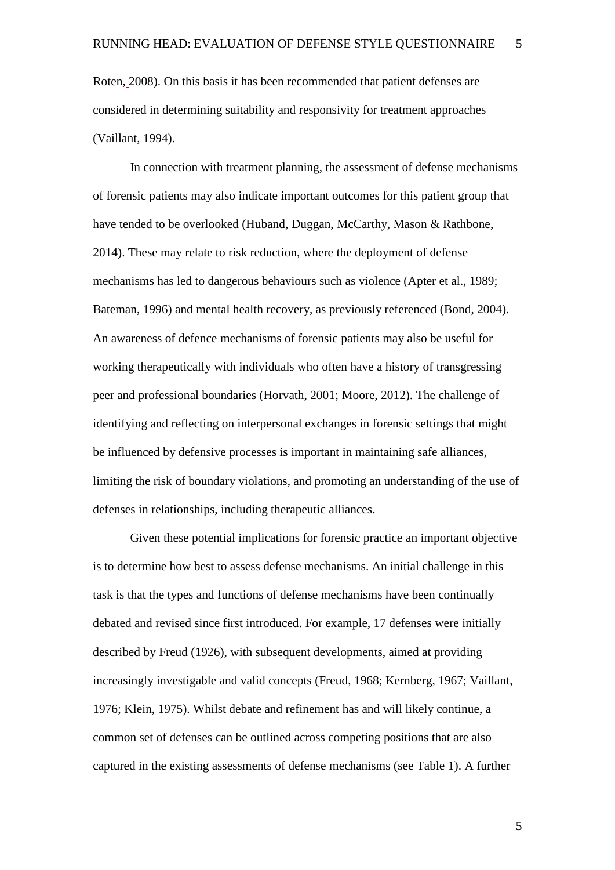Roten, 2008). On this basis it has been recommended that patient defenses are considered in determining suitability and responsivity for treatment approaches (Vaillant, 1994).

In connection with treatment planning, the assessment of defense mechanisms of forensic patients may also indicate important outcomes for this patient group that have tended to be overlooked (Huband, Duggan, McCarthy, Mason & Rathbone, 2014). These may relate to risk reduction, where the deployment of defense mechanisms has led to dangerous behaviours such as violence (Apter et al., 1989; Bateman, 1996) and mental health recovery, as previously referenced (Bond, 2004). An awareness of defence mechanisms of forensic patients may also be useful for working therapeutically with individuals who often have a history of transgressing peer and professional boundaries (Horvath, 2001; Moore, 2012). The challenge of identifying and reflecting on interpersonal exchanges in forensic settings that might be influenced by defensive processes is important in maintaining safe alliances, limiting the risk of boundary violations, and promoting an understanding of the use of defenses in relationships, including therapeutic alliances.

Given these potential implications for forensic practice an important objective is to determine how best to assess defense mechanisms. An initial challenge in this task is that the types and functions of defense mechanisms have been continually debated and revised since first introduced. For example, 17 defenses were initially described by Freud (1926), with subsequent developments, aimed at providing increasingly investigable and valid concepts (Freud, 1968; Kernberg, 1967; Vaillant, 1976; Klein, 1975). Whilst debate and refinement has and will likely continue, a common set of defenses can be outlined across competing positions that are also captured in the existing assessments of defense mechanisms (see Table 1). A further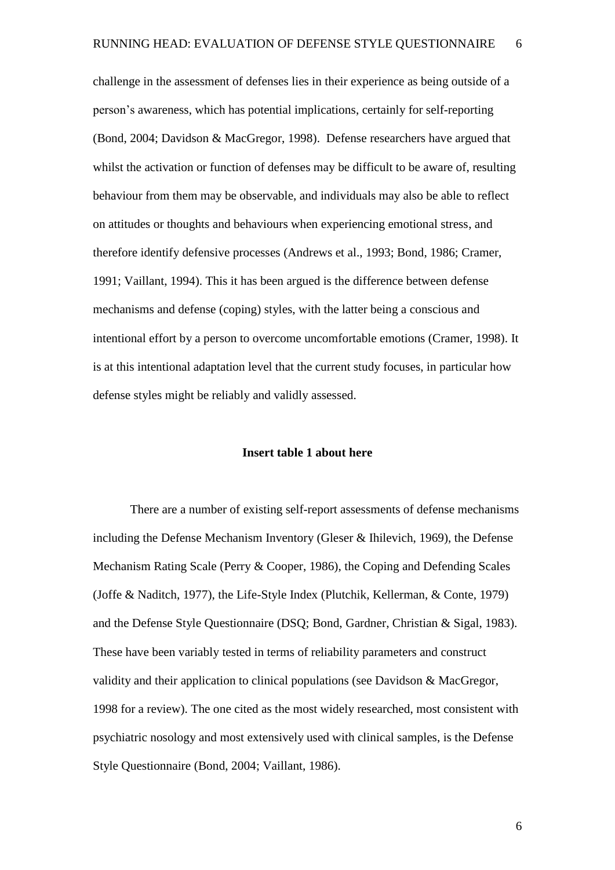challenge in the assessment of defenses lies in their experience as being outside of a person's awareness, which has potential implications, certainly for self-reporting (Bond, 2004; Davidson & MacGregor, 1998). Defense researchers have argued that whilst the activation or function of defenses may be difficult to be aware of, resulting behaviour from them may be observable, and individuals may also be able to reflect on attitudes or thoughts and behaviours when experiencing emotional stress, and therefore identify defensive processes (Andrews et al., 1993; Bond, 1986; Cramer, 1991; Vaillant, 1994). This it has been argued is the difference between defense mechanisms and defense (coping) styles, with the latter being a conscious and intentional effort by a person to overcome uncomfortable emotions (Cramer, 1998). It is at this intentional adaptation level that the current study focuses, in particular how defense styles might be reliably and validly assessed.

#### **Insert table 1 about here**

There are a number of existing self-report assessments of defense mechanisms including the Defense Mechanism Inventory (Gleser & Ihilevich, 1969), the Defense Mechanism Rating Scale (Perry & Cooper, 1986), the Coping and Defending Scales (Joffe & Naditch, 1977), the Life-Style Index (Plutchik, Kellerman, & Conte, 1979) and the Defense Style Questionnaire (DSQ; Bond, Gardner, Christian & Sigal, 1983). These have been variably tested in terms of reliability parameters and construct validity and their application to clinical populations (see Davidson & MacGregor, 1998 for a review). The one cited as the most widely researched, most consistent with psychiatric nosology and most extensively used with clinical samples, is the Defense Style Questionnaire (Bond, 2004; Vaillant, 1986).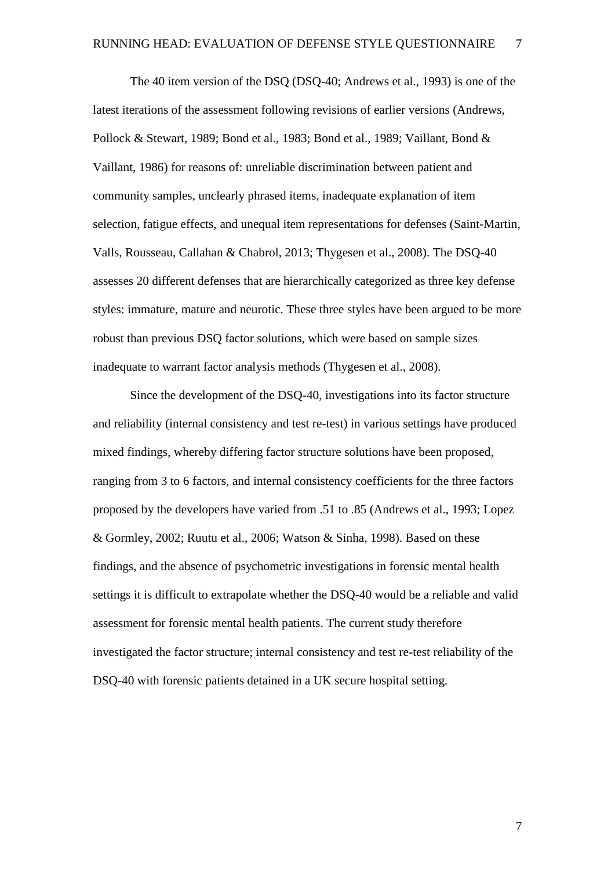The 40 item version of the DSQ (DSQ-40; Andrews et al., 1993) is one of the latest iterations of the assessment following revisions of earlier versions (Andrews, Pollock & Stewart, 1989; Bond et al., 1983; Bond et al., 1989; Vaillant, Bond & Vaillant, 1986) for reasons of: unreliable discrimination between patient and community samples, unclearly phrased items, inadequate explanation of item selection, fatigue effects, and unequal item representations for defenses (Saint-Martin, Valls, Rousseau, Callahan & Chabrol, 2013; Thygesen et al., 2008). The DSQ-40 assesses 20 different defenses that are hierarchically categorized as three key defense styles: immature, mature and neurotic. These three styles have been argued to be more robust than previous DSQ factor solutions, which were based on sample sizes inadequate to warrant factor analysis methods (Thygesen et al., 2008).

Since the development of the DSQ-40, investigations into its factor structure and reliability (internal consistency and test re-test) in various settings have produced mixed findings, whereby differing factor structure solutions have been proposed, ranging from 3 to 6 factors, and internal consistency coefficients for the three factors proposed by the developers have varied from .51 to .85 (Andrews et al., 1993; Lopez & Gormley, 2002; Ruutu et al., 2006; Watson & Sinha, 1998). Based on these findings, and the absence of psychometric investigations in forensic mental health settings it is difficult to extrapolate whether the DSQ-40 would be a reliable and valid assessment for forensic mental health patients. The current study therefore investigated the factor structure; internal consistency and test re-test reliability of the DSQ-40 with forensic patients detained in a UK secure hospital setting.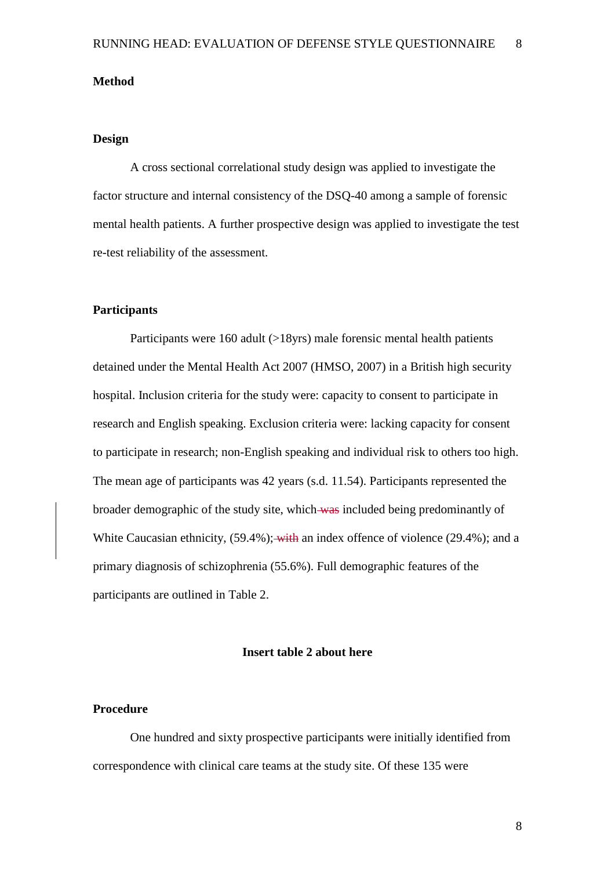#### **Method**

#### **Design**

A cross sectional correlational study design was applied to investigate the factor structure and internal consistency of the DSQ-40 among a sample of forensic mental health patients. A further prospective design was applied to investigate the test re-test reliability of the assessment.

#### **Participants**

Participants were 160 adult (>18yrs) male forensic mental health patients detained under the Mental Health Act 2007 (HMSO, 2007) in a British high security hospital. Inclusion criteria for the study were: capacity to consent to participate in research and English speaking. Exclusion criteria were: lacking capacity for consent to participate in research; non-English speaking and individual risk to others too high. The mean age of participants was 42 years (s.d. 11.54). Participants represented the broader demographic of the study site, which was included being predominantly of White Caucasian ethnicity, (59.4%); with an index offence of violence (29.4%); and a primary diagnosis of schizophrenia (55.6%). Full demographic features of the participants are outlined in Table 2.

#### **Insert table 2 about here**

#### **Procedure**

One hundred and sixty prospective participants were initially identified from correspondence with clinical care teams at the study site. Of these 135 were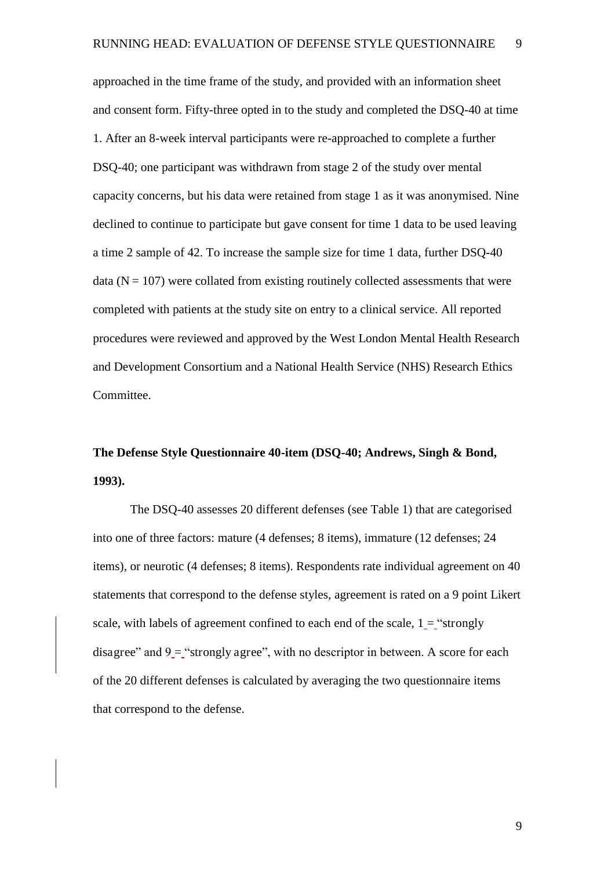approached in the time frame of the study, and provided with an information sheet and consent form. Fifty-three opted in to the study and completed the DSQ-40 at time 1. After an 8-week interval participants were re-approached to complete a further DSQ-40; one participant was withdrawn from stage 2 of the study over mental capacity concerns, but his data were retained from stage 1 as it was anonymised. Nine declined to continue to participate but gave consent for time 1 data to be used leaving a time 2 sample of 42. To increase the sample size for time 1 data, further DSQ-40 data  $(N = 107)$  were collated from existing routinely collected assessments that were completed with patients at the study site on entry to a clinical service. All reported procedures were reviewed and approved by the West London Mental Health Research and Development Consortium and a National Health Service (NHS) Research Ethics Committee.

## **The Defense Style Questionnaire 40-item (DSQ-40; Andrews, Singh & Bond, 1993).**

The DSQ-40 assesses 20 different defenses (see Table 1) that are categorised into one of three factors: mature (4 defenses; 8 items), immature (12 defenses; 24 items), or neurotic (4 defenses; 8 items). Respondents rate individual agreement on 40 statements that correspond to the defense styles, agreement is rated on a 9 point Likert scale, with labels of agreement confined to each end of the scale,  $1 =$  "strongly" disagree" and  $9 =$  "strongly agree", with no descriptor in between. A score for each of the 20 different defenses is calculated by averaging the two questionnaire items that correspond to the defense.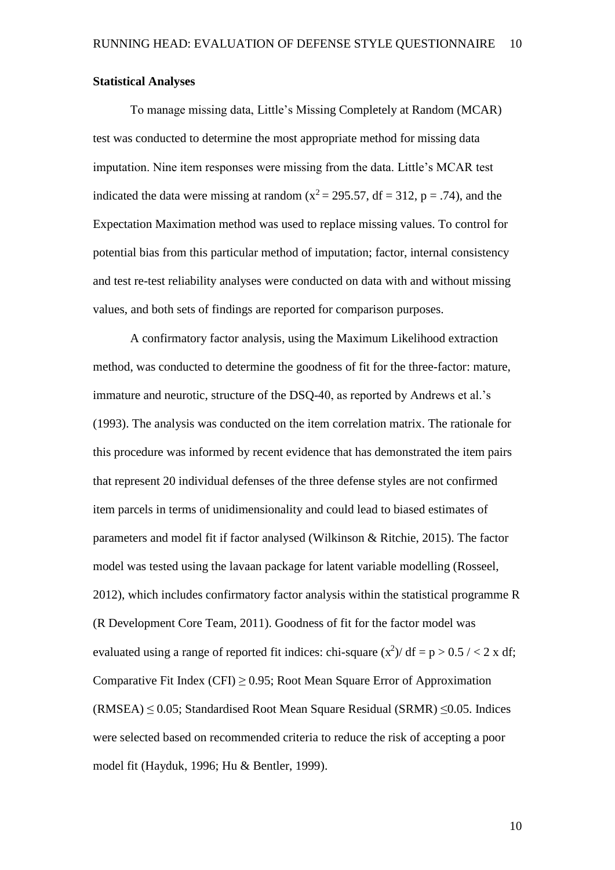#### **Statistical Analyses**

To manage missing data, Little's Missing Completely at Random (MCAR) test was conducted to determine the most appropriate method for missing data imputation. Nine item responses were missing from the data. Little's MCAR test indicated the data were missing at random ( $x^2 = 295.57$ , df = 312, p = .74), and the Expectation Maximation method was used to replace missing values. To control for potential bias from this particular method of imputation; factor, internal consistency and test re-test reliability analyses were conducted on data with and without missing values, and both sets of findings are reported for comparison purposes.

A confirmatory factor analysis, using the Maximum Likelihood extraction method, was conducted to determine the goodness of fit for the three-factor: mature, immature and neurotic, structure of the DSQ-40, as reported by Andrews et al.'s (1993). The analysis was conducted on the item correlation matrix. The rationale for this procedure was informed by recent evidence that has demonstrated the item pairs that represent 20 individual defenses of the three defense styles are not confirmed item parcels in terms of unidimensionality and could lead to biased estimates of parameters and model fit if factor analysed (Wilkinson & Ritchie, 2015). The factor model was tested using the lavaan package for latent variable modelling (Rosseel, 2012), which includes confirmatory factor analysis within the statistical programme R (R Development Core Team, 2011). Goodness of fit for the factor model was evaluated using a range of reported fit indices: chi-square  $(x^2)$  df = p > 0.5 / < 2 x df; Comparative Fit Index (CFI)  $\geq$  0.95; Root Mean Square Error of Approximation  $(RMSEA) \leq 0.05$ ; Standardised Root Mean Square Residual (SRMR)  $\leq 0.05$ . Indices were selected based on recommended criteria to reduce the risk of accepting a poor model fit (Hayduk, 1996; Hu & Bentler, 1999).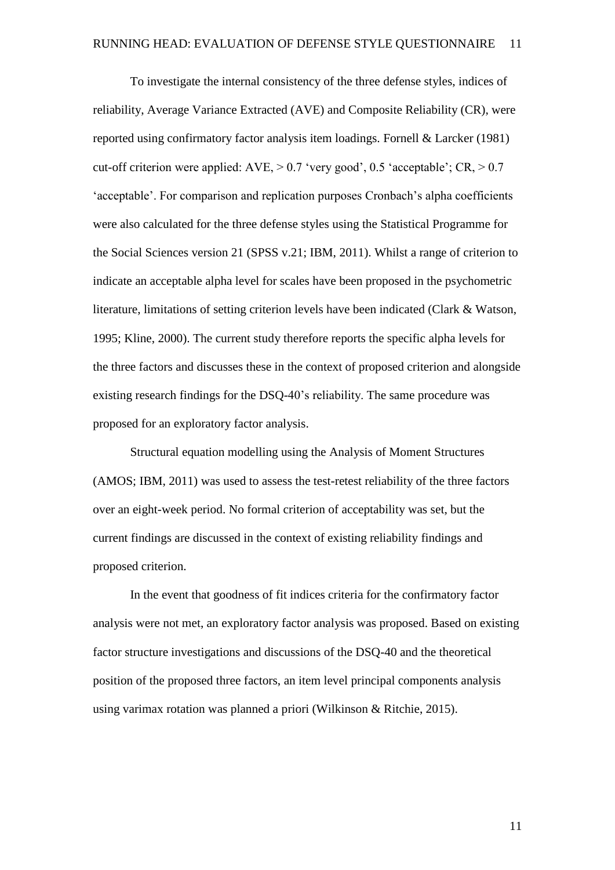To investigate the internal consistency of the three defense styles, indices of reliability, Average Variance Extracted (AVE) and Composite Reliability (CR), were reported using confirmatory factor analysis item loadings. Fornell & Larcker (1981) cut-off criterion were applied:  $AVE \ge 0.7$  'very good', 0.5 'acceptable';  $CR \ge 0.7$ 'acceptable'. For comparison and replication purposes Cronbach's alpha coefficients were also calculated for the three defense styles using the Statistical Programme for the Social Sciences version 21 (SPSS v.21; IBM, 2011). Whilst a range of criterion to indicate an acceptable alpha level for scales have been proposed in the psychometric literature, limitations of setting criterion levels have been indicated (Clark & Watson, 1995; Kline, 2000). The current study therefore reports the specific alpha levels for the three factors and discusses these in the context of proposed criterion and alongside existing research findings for the DSQ-40's reliability. The same procedure was proposed for an exploratory factor analysis.

Structural equation modelling using the Analysis of Moment Structures (AMOS; IBM, 2011) was used to assess the test-retest reliability of the three factors over an eight-week period. No formal criterion of acceptability was set, but the current findings are discussed in the context of existing reliability findings and proposed criterion.

In the event that goodness of fit indices criteria for the confirmatory factor analysis were not met, an exploratory factor analysis was proposed. Based on existing factor structure investigations and discussions of the DSQ-40 and the theoretical position of the proposed three factors, an item level principal components analysis using varimax rotation was planned a priori (Wilkinson & Ritchie, 2015).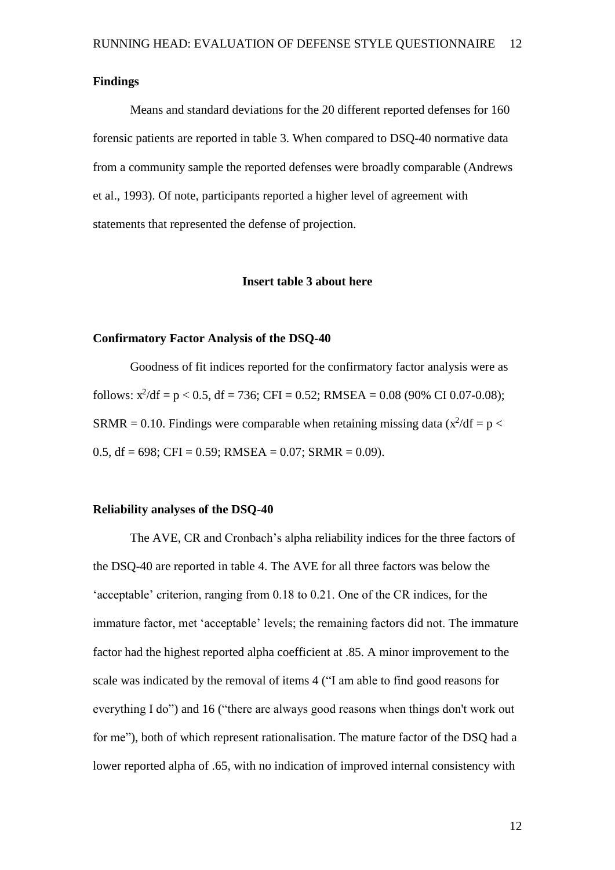#### **Findings**

Means and standard deviations for the 20 different reported defenses for 160 forensic patients are reported in table 3. When compared to DSQ-40 normative data from a community sample the reported defenses were broadly comparable (Andrews et al., 1993). Of note, participants reported a higher level of agreement with statements that represented the defense of projection.

#### **Insert table 3 about here**

#### **Confirmatory Factor Analysis of the DSQ-40**

Goodness of fit indices reported for the confirmatory factor analysis were as follows:  $x^2/df = p < 0.5$ ,  $df = 736$ ; CFI = 0.52; RMSEA = 0.08 (90% CI 0.07-0.08); SRMR = 0.10. Findings were comparable when retaining missing data  $(x^2/df = p <$ 0.5, df =  $698$ ; CFI = 0.59; RMSEA = 0.07; SRMR = 0.09).

#### **Reliability analyses of the DSQ-40**

The AVE, CR and Cronbach's alpha reliability indices for the three factors of the DSQ-40 are reported in table 4. The AVE for all three factors was below the 'acceptable' criterion, ranging from 0.18 to 0.21. One of the CR indices, for the immature factor, met 'acceptable' levels; the remaining factors did not. The immature factor had the highest reported alpha coefficient at .85. A minor improvement to the scale was indicated by the removal of items 4 ("I am able to find good reasons for everything I do") and 16 ("there are always good reasons when things don't work out for me"), both of which represent rationalisation. The mature factor of the DSQ had a lower reported alpha of .65, with no indication of improved internal consistency with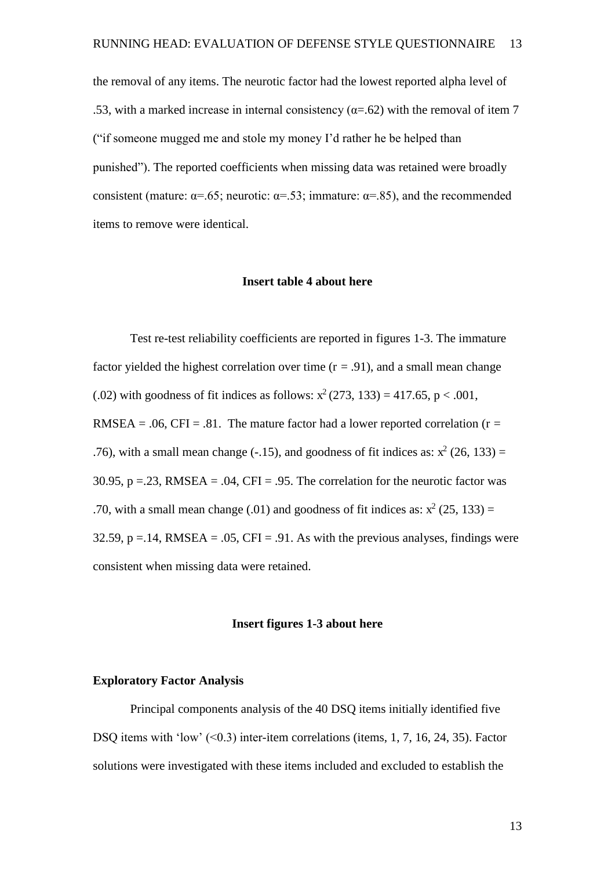the removal of any items. The neurotic factor had the lowest reported alpha level of .53, with a marked increase in internal consistency ( $\alpha$ =.62) with the removal of item 7 ("if someone mugged me and stole my money I'd rather he be helped than punished"). The reported coefficients when missing data was retained were broadly consistent (mature:  $\alpha = .65$ ; neurotic:  $\alpha = .53$ ; immature:  $\alpha = .85$ ), and the recommended items to remove were identical.

#### **Insert table 4 about here**

Test re-test reliability coefficients are reported in figures 1-3. The immature factor yielded the highest correlation over time  $(r = .91)$ , and a small mean change (.02) with goodness of fit indices as follows:  $x^2(273, 133) = 417.65$ , p < .001, RMSEA = .06, CFI = .81. The mature factor had a lower reported correlation ( $r =$ .76), with a small mean change (-.15), and goodness of fit indices as:  $x^2$  (26, 133) = 30.95,  $p = 0.23$ , RMSEA =  $0.04$ , CFI = 0.95. The correlation for the neurotic factor was .70, with a small mean change (.01) and goodness of fit indices as:  $x^2$  (25, 133) = 32.59,  $p = 0.14$ , RMSEA =  $0.05$ , CFI =  $0.91$ . As with the previous analyses, findings were consistent when missing data were retained.

#### **Insert figures 1-3 about here**

#### **Exploratory Factor Analysis**

Principal components analysis of the 40 DSQ items initially identified five DSQ items with 'low' (<0.3) inter-item correlations (items, 1, 7, 16, 24, 35). Factor solutions were investigated with these items included and excluded to establish the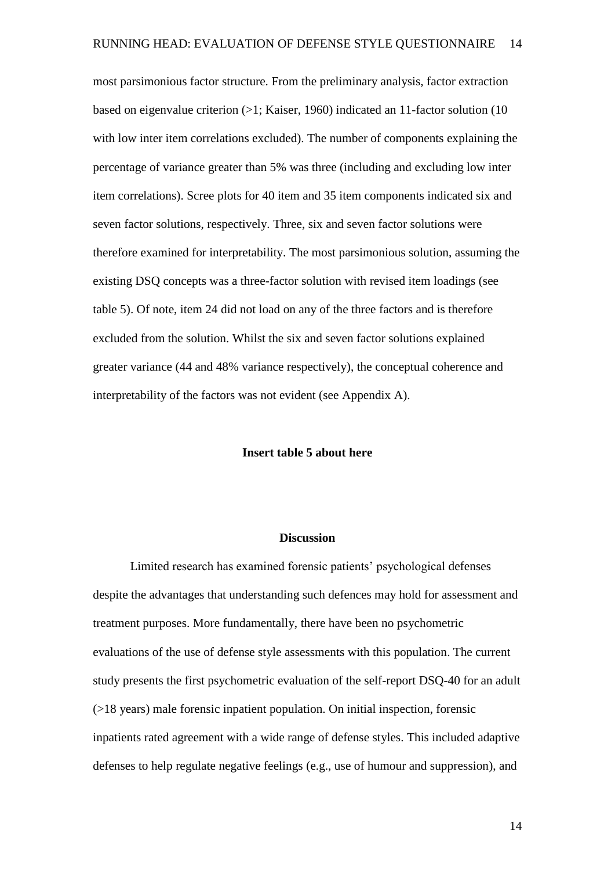most parsimonious factor structure. From the preliminary analysis, factor extraction based on eigenvalue criterion (>1; Kaiser, 1960) indicated an 11-factor solution (10 with low inter item correlations excluded). The number of components explaining the percentage of variance greater than 5% was three (including and excluding low inter item correlations). Scree plots for 40 item and 35 item components indicated six and seven factor solutions, respectively. Three, six and seven factor solutions were therefore examined for interpretability. The most parsimonious solution, assuming the existing DSQ concepts was a three-factor solution with revised item loadings (see table 5). Of note, item 24 did not load on any of the three factors and is therefore excluded from the solution. Whilst the six and seven factor solutions explained greater variance (44 and 48% variance respectively), the conceptual coherence and interpretability of the factors was not evident (see Appendix A).

#### **Insert table 5 about here**

#### **Discussion**

 Limited research has examined forensic patients' psychological defenses despite the advantages that understanding such defences may hold for assessment and treatment purposes. More fundamentally, there have been no psychometric evaluations of the use of defense style assessments with this population. The current study presents the first psychometric evaluation of the self-report DSQ-40 for an adult (>18 years) male forensic inpatient population. On initial inspection, forensic inpatients rated agreement with a wide range of defense styles. This included adaptive defenses to help regulate negative feelings (e.g., use of humour and suppression), and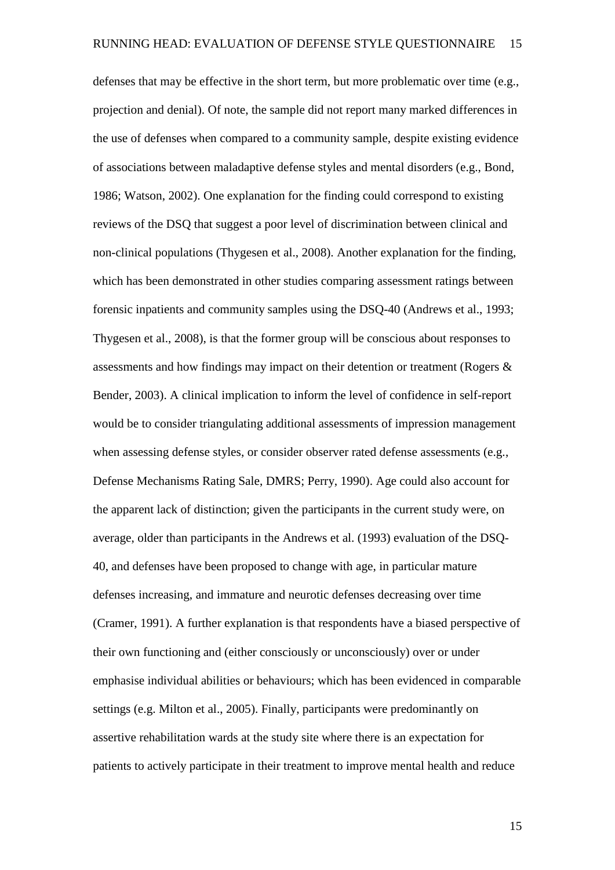defenses that may be effective in the short term, but more problematic over time (e.g., projection and denial). Of note, the sample did not report many marked differences in the use of defenses when compared to a community sample, despite existing evidence of associations between maladaptive defense styles and mental disorders (e.g., Bond, 1986; Watson, 2002). One explanation for the finding could correspond to existing reviews of the DSQ that suggest a poor level of discrimination between clinical and non-clinical populations (Thygesen et al., 2008). Another explanation for the finding, which has been demonstrated in other studies comparing assessment ratings between forensic inpatients and community samples using the DSQ-40 (Andrews et al., 1993; Thygesen et al., 2008), is that the former group will be conscious about responses to assessments and how findings may impact on their detention or treatment (Rogers & Bender, 2003). A clinical implication to inform the level of confidence in self-report would be to consider triangulating additional assessments of impression management when assessing defense styles, or consider observer rated defense assessments (e.g., Defense Mechanisms Rating Sale, DMRS; Perry, 1990). Age could also account for the apparent lack of distinction; given the participants in the current study were, on average, older than participants in the Andrews et al. (1993) evaluation of the DSQ-40, and defenses have been proposed to change with age, in particular mature defenses increasing, and immature and neurotic defenses decreasing over time (Cramer, 1991). A further explanation is that respondents have a biased perspective of their own functioning and (either consciously or unconsciously) over or under emphasise individual abilities or behaviours; which has been evidenced in comparable settings (e.g. Milton et al., 2005). Finally, participants were predominantly on assertive rehabilitation wards at the study site where there is an expectation for patients to actively participate in their treatment to improve mental health and reduce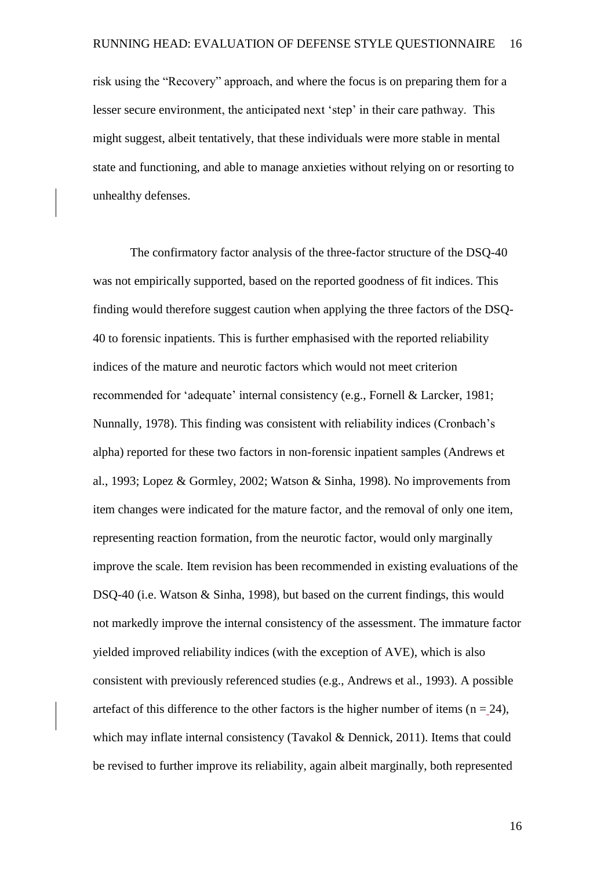risk using the "Recovery" approach, and where the focus is on preparing them for a lesser secure environment, the anticipated next 'step' in their care pathway. This might suggest, albeit tentatively, that these individuals were more stable in mental state and functioning, and able to manage anxieties without relying on or resorting to unhealthy defenses.

The confirmatory factor analysis of the three-factor structure of the DSQ-40 was not empirically supported, based on the reported goodness of fit indices. This finding would therefore suggest caution when applying the three factors of the DSQ-40 to forensic inpatients. This is further emphasised with the reported reliability indices of the mature and neurotic factors which would not meet criterion recommended for 'adequate' internal consistency (e.g., Fornell & Larcker, 1981; Nunnally, 1978). This finding was consistent with reliability indices (Cronbach's alpha) reported for these two factors in non-forensic inpatient samples (Andrews et al., 1993; Lopez & Gormley, 2002; Watson & Sinha, 1998). No improvements from item changes were indicated for the mature factor, and the removal of only one item, representing reaction formation, from the neurotic factor, would only marginally improve the scale. Item revision has been recommended in existing evaluations of the DSQ-40 (i.e. Watson & Sinha, 1998), but based on the current findings, this would not markedly improve the internal consistency of the assessment. The immature factor yielded improved reliability indices (with the exception of AVE), which is also consistent with previously referenced studies (e.g., Andrews et al., 1993). A possible artefact of this difference to the other factors is the higher number of items ( $n = 24$ ), which may inflate internal consistency (Tavakol & Dennick, 2011). Items that could be revised to further improve its reliability, again albeit marginally, both represented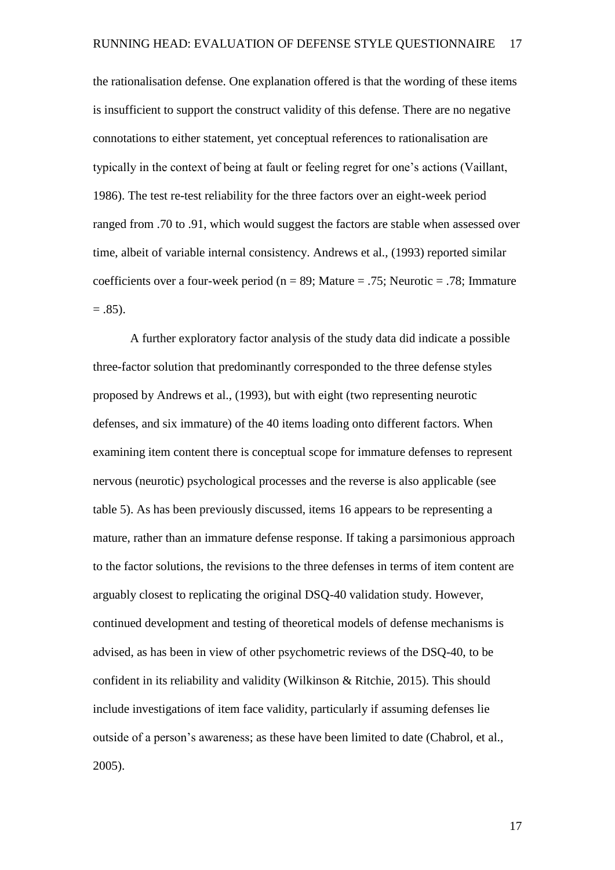the rationalisation defense. One explanation offered is that the wording of these items is insufficient to support the construct validity of this defense. There are no negative connotations to either statement, yet conceptual references to rationalisation are typically in the context of being at fault or feeling regret for one's actions (Vaillant, 1986). The test re-test reliability for the three factors over an eight-week period ranged from .70 to .91, which would suggest the factors are stable when assessed over time, albeit of variable internal consistency. Andrews et al., (1993) reported similar coefficients over a four-week period ( $n = 89$ ; Mature = .75; Neurotic = .78; Immature  $= .85$ ).

A further exploratory factor analysis of the study data did indicate a possible three-factor solution that predominantly corresponded to the three defense styles proposed by Andrews et al., (1993), but with eight (two representing neurotic defenses, and six immature) of the 40 items loading onto different factors. When examining item content there is conceptual scope for immature defenses to represent nervous (neurotic) psychological processes and the reverse is also applicable (see table 5). As has been previously discussed, items 16 appears to be representing a mature, rather than an immature defense response. If taking a parsimonious approach to the factor solutions, the revisions to the three defenses in terms of item content are arguably closest to replicating the original DSQ-40 validation study. However, continued development and testing of theoretical models of defense mechanisms is advised, as has been in view of other psychometric reviews of the DSQ-40, to be confident in its reliability and validity (Wilkinson & Ritchie, 2015). This should include investigations of item face validity, particularly if assuming defenses lie outside of a person's awareness; as these have been limited to date (Chabrol, et al., 2005).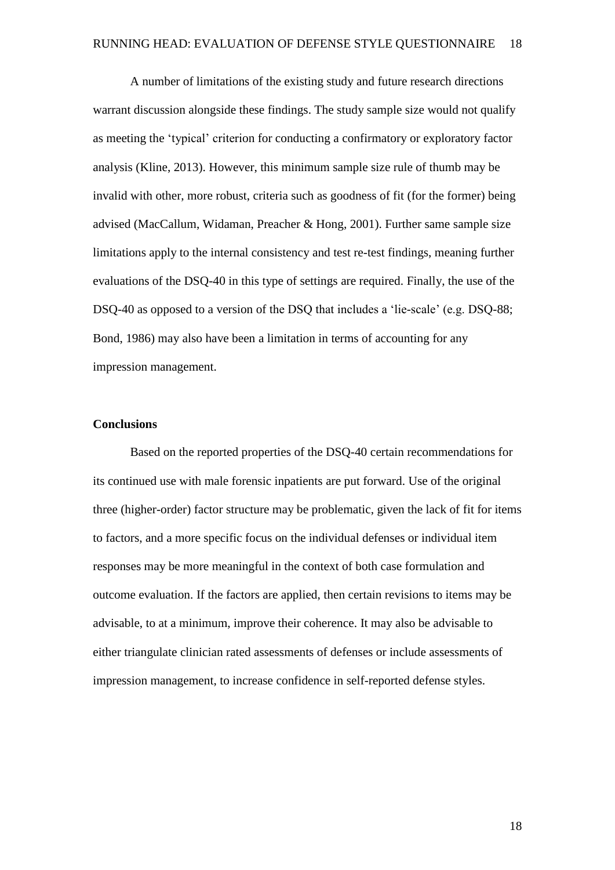A number of limitations of the existing study and future research directions warrant discussion alongside these findings. The study sample size would not qualify as meeting the 'typical' criterion for conducting a confirmatory or exploratory factor analysis (Kline, 2013). However, this minimum sample size rule of thumb may be invalid with other, more robust, criteria such as goodness of fit (for the former) being advised (MacCallum, Widaman, Preacher & Hong, 2001). Further same sample size limitations apply to the internal consistency and test re-test findings, meaning further evaluations of the DSQ-40 in this type of settings are required. Finally, the use of the DSQ-40 as opposed to a version of the DSQ that includes a 'lie-scale' (e.g. DSQ-88; Bond, 1986) may also have been a limitation in terms of accounting for any impression management.

#### **Conclusions**

Based on the reported properties of the DSQ-40 certain recommendations for its continued use with male forensic inpatients are put forward. Use of the original three (higher-order) factor structure may be problematic, given the lack of fit for items to factors, and a more specific focus on the individual defenses or individual item responses may be more meaningful in the context of both case formulation and outcome evaluation. If the factors are applied, then certain revisions to items may be advisable, to at a minimum, improve their coherence. It may also be advisable to either triangulate clinician rated assessments of defenses or include assessments of impression management, to increase confidence in self-reported defense styles.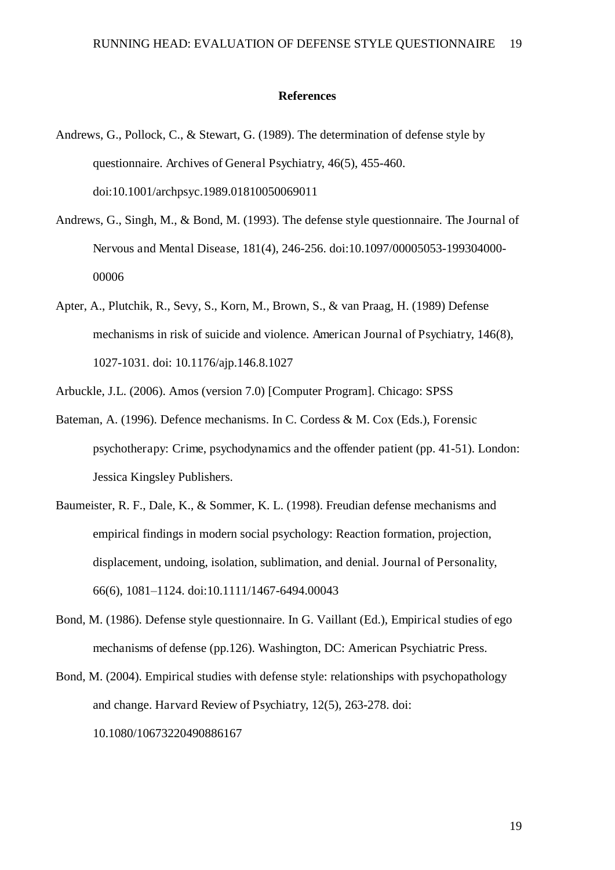#### **References**

- Andrews, G., Pollock, C., & Stewart, G. (1989). The determination of defense style by questionnaire. Archives of General Psychiatry, 46(5), 455-460. doi:10.1001/archpsyc.1989.01810050069011
- Andrews, G., Singh, M., & Bond, M. (1993). The defense style questionnaire. The Journal of Nervous and Mental Disease, 181(4), 246-256. doi:10.1097/00005053-199304000- 00006
- Apter, A., Plutchik, R., Sevy, S., Korn, M., Brown, S., & van Praag, H. (1989) Defense mechanisms in risk of suicide and violence. American Journal of Psychiatry, 146(8), 1027-1031. doi: 10.1176/ajp.146.8.1027
- Arbuckle, J.L. (2006). Amos (version 7.0) [Computer Program]. Chicago: SPSS
- Bateman, A. (1996). Defence mechanisms. In C. Cordess & M. Cox (Eds.), Forensic psychotherapy: Crime, psychodynamics and the offender patient (pp. 41-51). London: Jessica Kingsley Publishers.
- Baumeister, R. F., Dale, K., & Sommer, K. L. (1998). Freudian defense mechanisms and empirical findings in modern social psychology: Reaction formation, projection, displacement, undoing, isolation, sublimation, and denial. Journal of Personality, 66(6), 1081–1124. doi:10.1111/1467-6494.00043
- Bond, M. (1986). Defense style questionnaire. In G. Vaillant (Ed.), Empirical studies of ego mechanisms of defense (pp.126). Washington, DC: American Psychiatric Press.
- Bond, M. (2004). Empirical studies with defense style: relationships with psychopathology and change. Harvard Review of Psychiatry, 12(5), 263-278. doi: 10.1080/10673220490886167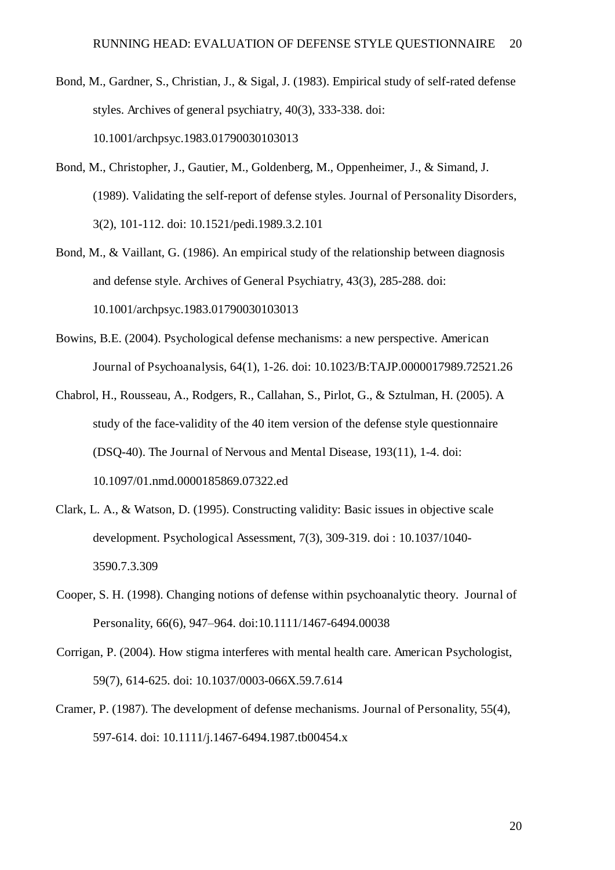- Bond, M., Gardner, S., Christian, J., & Sigal, J. (1983). Empirical study of self-rated defense styles. Archives of general psychiatry, 40(3), 333-338. doi: 10.1001/archpsyc.1983.01790030103013
- Bond, M., Christopher, J., Gautier, M., Goldenberg, M., Oppenheimer, J., & Simand, J. (1989). Validating the self-report of defense styles. Journal of Personality Disorders, 3(2), 101-112. doi: 10.1521/pedi.1989.3.2.101
- Bond, M., & Vaillant, G. (1986). An empirical study of the relationship between diagnosis and defense style. Archives of General Psychiatry, 43(3), 285-288. doi: 10.1001/archpsyc.1983.01790030103013
- Bowins, B.E. (2004). Psychological defense mechanisms: a new perspective. American Journal of Psychoanalysis, 64(1), 1-26. doi: 10.1023/B:TAJP.0000017989.72521.26
- Chabrol, H., Rousseau, A., Rodgers, R., Callahan, S., Pirlot, G., & Sztulman, H. (2005). A study of the face-validity of the 40 item version of the defense style questionnaire (DSQ-40). The Journal of Nervous and Mental Disease, 193(11), 1-4. doi: 10.1097/01.nmd.0000185869.07322.ed
- Clark, L. A., & Watson, D. (1995). Constructing validity: Basic issues in objective scale development. Psychological Assessment, 7(3), 309-319. doi : 10.1037/1040- 3590.7.3.309
- Cooper, S. H. (1998). Changing notions of defense within psychoanalytic theory. Journal of Personality, 66(6), 947–964. doi:10.1111/1467-6494.00038
- Corrigan, P. (2004). How stigma interferes with mental health care. American Psychologist, 59(7), 614-625. doi: 10.1037/0003-066X.59.7.614
- Cramer, P. (1987). The development of defense mechanisms. Journal of Personality, 55(4), 597-614. doi: 10.1111/j.1467-6494.1987.tb00454.x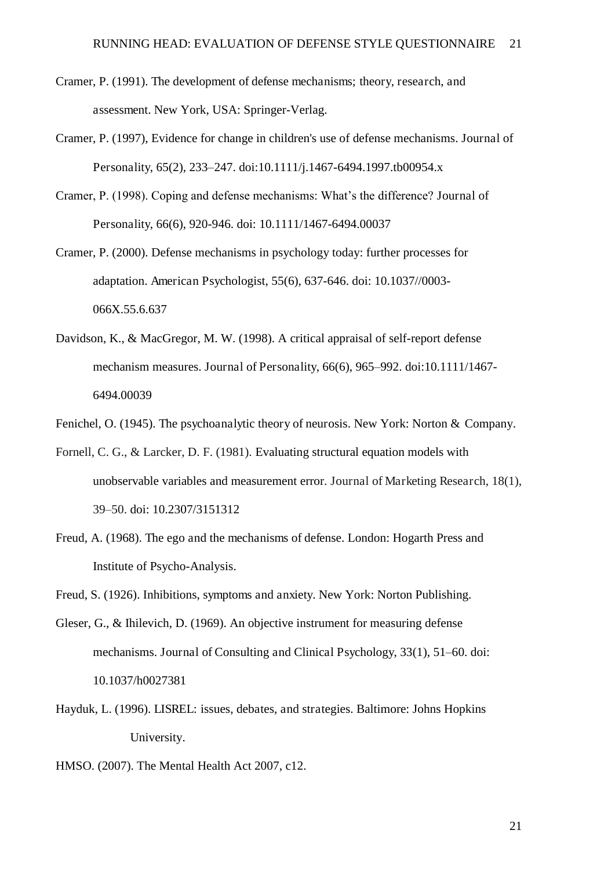- Cramer, P. (1991). The development of defense mechanisms; theory, research, and assessment. New York, USA: Springer-Verlag.
- Cramer, P. (1997), Evidence for change in children's use of defense mechanisms. Journal of Personality, 65(2), 233–247. doi:10.1111/j.1467-6494.1997.tb00954.x
- Cramer, P. (1998). Coping and defense mechanisms: What's the difference? Journal of Personality, 66(6), 920-946. doi: 10.1111/1467-6494.00037
- Cramer, P. (2000). Defense mechanisms in psychology today: further processes for adaptation. American Psychologist, 55(6), 637-646. doi: 10.1037//0003- 066X.55.6.637
- Davidson, K., & MacGregor, M. W. (1998). A critical appraisal of self-report defense mechanism measures. Journal of Personality, 66(6), 965–992. doi:10.1111/1467- 6494.00039
- Fenichel, O. (1945). The psychoanalytic theory of neurosis. New York: Norton & Company.
- Fornell, C. G., & Larcker, D. F. (1981). Evaluating structural equation models with unobservable variables and measurement error. Journal of Marketing Research, 18(1), 39–50. doi: 10.2307/3151312
- Freud, A. (1968). The ego and the mechanisms of defense. London: Hogarth Press and Institute of Psycho-Analysis.
- Freud, S. (1926). Inhibitions, symptoms and anxiety. New York: Norton Publishing.
- Gleser, G., & Ihilevich, D. (1969). An objective instrument for measuring defense mechanisms. Journal of Consulting and Clinical Psychology, 33(1), 51–60. doi: 10.1037/h0027381
- Hayduk, L. (1996). LISREL: issues, debates, and strategies. Baltimore: Johns Hopkins University.
- HMSO. (2007). The Mental Health Act 2007, c12.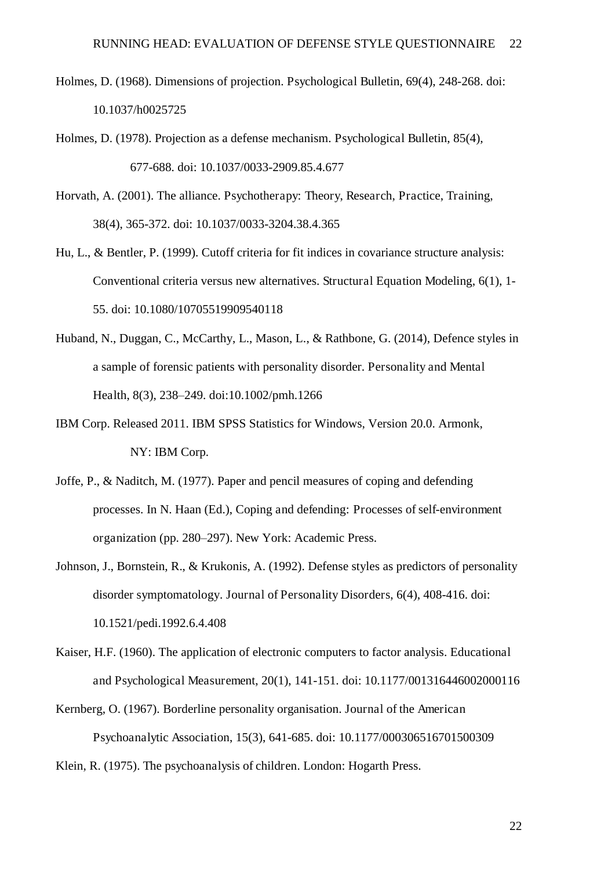- Holmes, D. (1968). Dimensions of projection. Psychological Bulletin, 69(4), 248-268. doi: 10.1037/h0025725
- Holmes, D. (1978). Projection as a defense mechanism. Psychological Bulletin, 85(4), 677-688. doi: 10.1037/0033-2909.85.4.677

Horvath, A. (2001). The alliance. Psychotherapy: Theory, Research, Practice, Training, 38(4), 365-372. doi: 10.1037/0033-3204.38.4.365

- Hu, L., & Bentler, P. (1999). Cutoff criteria for fit indices in covariance structure analysis: Conventional criteria versus new alternatives. Structural Equation Modeling, 6(1), 1- 55. doi: 10.1080/10705519909540118
- Huband, N., Duggan, C., McCarthy, L., Mason, L., & Rathbone, G. (2014), Defence styles in a sample of forensic patients with personality disorder. Personality and Mental Health, 8(3), 238–249. doi:10.1002/pmh.1266
- IBM Corp. Released 2011. IBM SPSS Statistics for Windows, Version 20.0. Armonk, NY: IBM Corp.
- Joffe, P., & Naditch, M. (1977). Paper and pencil measures of coping and defending processes. In N. Haan (Ed.), Coping and defending: Processes of self-environment organization (pp. 280–297). New York: Academic Press.
- Johnson, J., Bornstein, R., & Krukonis, A. (1992). Defense styles as predictors of personality disorder symptomatology. Journal of Personality Disorders, 6(4), 408-416. doi: 10.1521/pedi.1992.6.4.408
- Kaiser, H.F. (1960). The application of electronic computers to factor analysis. Educational and Psychological Measurement, 20(1), 141-151. doi: 10.1177/001316446002000116
- Kernberg, O. (1967). Borderline personality organisation. Journal of the American Psychoanalytic Association, 15(3), 641-685. doi: 10.1177/000306516701500309 Klein, R. (1975). The psychoanalysis of children. London: Hogarth Press.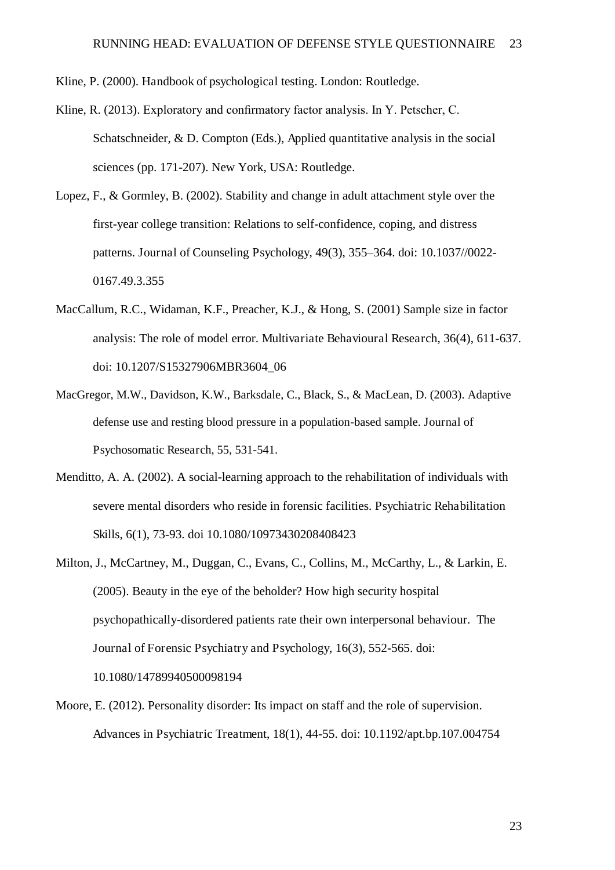Kline, P. (2000). Handbook of psychological testing. London: Routledge.

- Kline, R. (2013). Exploratory and confirmatory factor analysis. In Y. Petscher, C. Schatschneider, & D. Compton (Eds.), Applied quantitative analysis in the social sciences (pp. 171-207). New York, USA: Routledge.
- Lopez, F., & Gormley, B. (2002). Stability and change in adult attachment style over the first-year college transition: Relations to self-confidence, coping, and distress patterns. Journal of Counseling Psychology, 49(3), 355–364. doi: 10.1037//0022- 0167.49.3.355
- MacCallum, R.C., Widaman, K.F., Preacher, K.J., & Hong, S. (2001) Sample size in factor analysis: The role of model error. Multivariate Behavioural Research, 36(4), 611-637. doi: 10.1207/S15327906MBR3604\_06
- MacGregor, M.W., Davidson, K.W., Barksdale, C., Black, S., & MacLean, D. (2003). Adaptive defense use and resting blood pressure in a population-based sample. Journal of Psychosomatic Research, 55, 531-541.
- Menditto, A. A. (2002). A social-learning approach to the rehabilitation of individuals with severe mental disorders who reside in forensic facilities. Psychiatric Rehabilitation Skills, 6(1), 73-93. doi 10.1080/10973430208408423
- Milton, J., McCartney, M., Duggan, C., Evans, C., Collins, M., McCarthy, L., & Larkin, E. (2005). Beauty in the eye of the beholder? How high security hospital psychopathically-disordered patients rate their own interpersonal behaviour. The Journal of Forensic Psychiatry and Psychology, 16(3), 552-565. doi: 10.1080/14789940500098194
- Moore, E. (2012). Personality disorder: Its impact on staff and the role of supervision. Advances in Psychiatric Treatment, 18(1), 44-55. doi: 10.1192/apt.bp.107.004754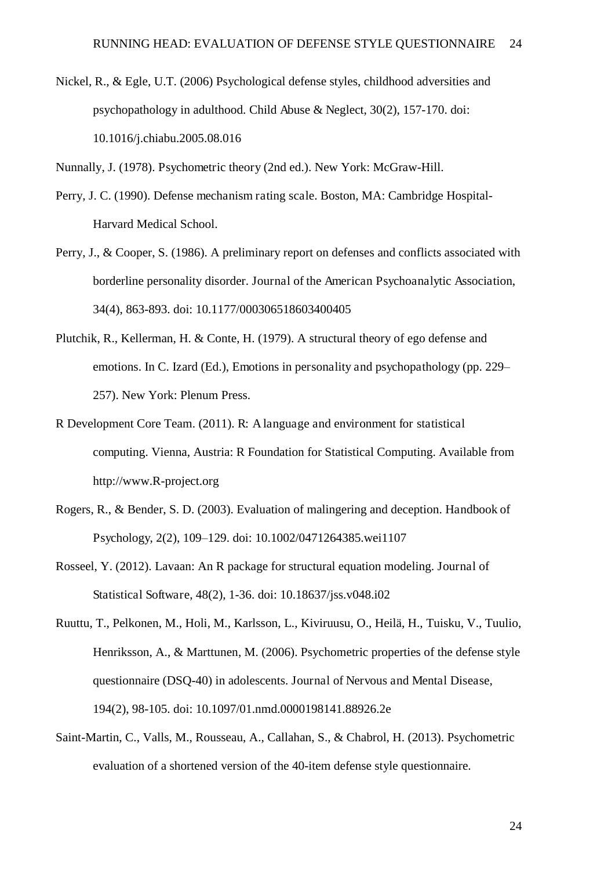Nickel, R., & Egle, U.T. (2006) Psychological defense styles, childhood adversities and psychopathology in adulthood. Child Abuse & Neglect, 30(2), 157-170. doi: 10.1016/j.chiabu.2005.08.016

Nunnally, J. (1978). Psychometric theory (2nd ed.). New York: McGraw-Hill.

- Perry, J. C. (1990). Defense mechanism rating scale. Boston, MA: Cambridge Hospital-Harvard Medical School.
- Perry, J., & Cooper, S. (1986). A preliminary report on defenses and conflicts associated with borderline personality disorder. Journal of the American Psychoanalytic Association, 34(4), 863-893. doi: 10.1177/000306518603400405
- Plutchik, R., Kellerman, H. & Conte, H. (1979). A structural theory of ego defense and emotions. In C. Izard (Ed.), Emotions in personality and psychopathology (pp. 229– 257). New York: Plenum Press.
- R Development Core Team. (2011). R: A language and environment for statistical computing. Vienna, Austria: R Foundation for Statistical Computing. Available from http://www.R-project.org
- Rogers, R., & Bender, S. D. (2003). Evaluation of malingering and deception. Handbook of Psychology, 2(2), 109–129. doi: 10.1002/0471264385.wei1107
- Rosseel, Y. (2012). Lavaan: An R package for structural equation modeling. Journal of Statistical Software, 48(2), 1-36. doi: 10.18637/jss.v048.i02
- Ruuttu, T., Pelkonen, M., Holi, M., Karlsson, L., Kiviruusu, O., Heilä, H., Tuisku, V., Tuulio, Henriksson, A., & Marttunen, M. (2006). Psychometric properties of the defense style questionnaire (DSQ-40) in adolescents. Journal of Nervous and Mental Disease, 194(2), 98-105. doi: 10.1097/01.nmd.0000198141.88926.2e
- Saint-Martin, C., Valls, M., Rousseau, A., Callahan, S., & Chabrol, H. (2013). Psychometric evaluation of a shortened version of the 40-item defense style questionnaire.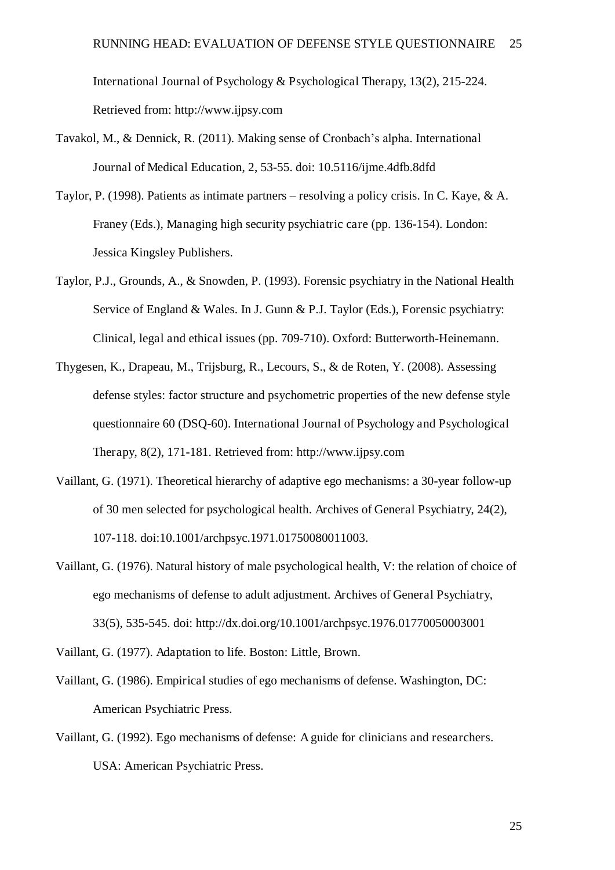International Journal of Psychology & Psychological Therapy, 13(2), 215-224. Retrieved from: http://www.ijpsy.com

- Tavakol, M., & Dennick, R. (2011). Making sense of Cronbach's alpha. International Journal of Medical Education, 2, 53-55. doi: 10.5116/ijme.4dfb.8dfd
- Taylor, P. (1998). Patients as intimate partners resolving a policy crisis. In C. Kaye, & A. Franey (Eds.), Managing high security psychiatric care (pp. 136-154). London: Jessica Kingsley Publishers.
- Taylor, P.J., Grounds, A., & Snowden, P. (1993). Forensic psychiatry in the National Health Service of England & Wales. In J. Gunn & P.J. Taylor (Eds.), Forensic psychiatry: Clinical, legal and ethical issues (pp. 709-710). Oxford: Butterworth-Heinemann.
- Thygesen, K., Drapeau, M., Trijsburg, R., Lecours, S., & de Roten, Y. (2008). Assessing defense styles: factor structure and psychometric properties of the new defense style questionnaire 60 (DSQ-60). International Journal of Psychology and Psychological Therapy, 8(2), 171-181. Retrieved from: http://www.ijpsy.com
- Vaillant, G. (1971). Theoretical hierarchy of adaptive ego mechanisms: a 30-year follow-up of 30 men selected for psychological health. Archives of General Psychiatry, 24(2), 107-118. doi:10.1001/archpsyc.1971.01750080011003.
- Vaillant, G. (1976). Natural history of male psychological health, V: the relation of choice of ego mechanisms of defense to adult adjustment. Archives of General Psychiatry, 33(5), 535-545. doi: http://dx.doi.org/10.1001/archpsyc.1976.01770050003001
- Vaillant, G. (1977). Adaptation to life. Boston: Little, Brown.
- Vaillant, G. (1986). Empirical studies of ego mechanisms of defense. Washington, DC: American Psychiatric Press.
- Vaillant, G. (1992). Ego mechanisms of defense: A guide for clinicians and researchers. USA: American Psychiatric Press.